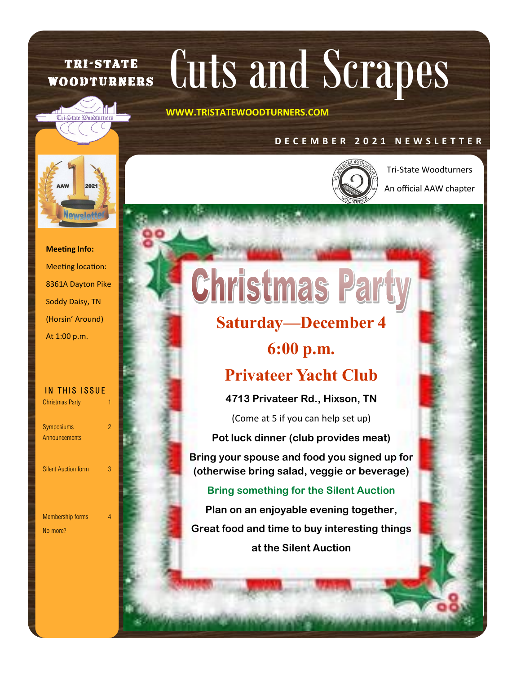## ARTID N T R I-S T A T E

í

# $\Gamma$ TRI-STATE GUIS and Scrapes



WWW.TRISTATEWOODTURNERS.COM **WWW.TRISTATEWOODTURNERS.COM**

#### **O C T O B E R 2 0 1 7 N E W S L E T T E R D E C E M B E R 2 0 2 1 N E W S L E T T E R**



Tri-State Woodturners an An official AAW chapter Tri-State Woodturners

### **Meeting Info:** Gene Stubsten Meeting location: 8361A Dayton Pike Soddy Daisy, TN (Horsin' Around) At 1:00 p.m.

IN THIS ISSUE nd a material process and the Christmas Party 1

**1**

2

**2**

**3**

4

**7**

Symposiums **Announcements** 

**Christmas Party 1** Silent Auction form 3

**Membership forms Club Challenge** 4 No more?

**Instant Gallery 5-6**

Membership 8

## Have you made a hollow for The focus of the focus of the demonstration of the demonstration of the demonstration of the demonstration of tion at the Tri-State Woodturners meeting this month month will be held at the meeting will be held at the meeting will be held at the meeting will be h **the Horsin's Saturday—December 4**

## Pike, Soddy Daisy, TN) at 1:00 p.m. this **6:00 p.m.** Ruizateau Vaa **Privateer Yacht Club**

will be done that the doing Hollow Forms 101. In-other and the doing Hollow Forms 101. In-other and the doing  $\overline{AB}$  $w = \frac{1}{2}$  the formation  $\mathbf{r}$  to  $\mathbf{r}$ **4713 Privateer Rd., Hixson, TN**

(Come at 5 if you can help set up) work. He will explain how you can turn how you can turn the will explain how you can turn how you can turn how you can turn how you can turn how you can turn how you can turn how you can turn how you can turn how you can t (Horsin' Around face of the new Around face of the new Around face of the new Around face of the new Around face of the new Around face of the new Around face of the new Around face of the new Around face of the new Around turner invariably include tricks and

**hollow forms with years a form of experience with years of experience with years of experience with years of experience with years of experience with years of experience with years of experience with years of experience w Ence Bring your spouse and food you signed up for <b>Encouraged to the state of the state of the state of the state of the state of the state of the state of the state of the state of the state of the state of the state of For all mate to do the increase of the increase of the saturday and engone of the same of the same of the same of the same of the same of the same of the same of the same of the same of the same of the same of the same of** 

you are included to do so. **The time something for the Silent Auction EXECERCITE WILL BE SAT. DEC. 3 at the Silent Auction** the Privateer Yacht Club (4713 Privateer Rd, Hixson, **Plan on an enjoyable evening together, Great food and time to buy interesting things** 

 $T<sub>3</sub>$  and  $T<sub>3</sub>$  at tends with  $T<sub>3</sub>$ your spouse and wonderful every year and wonderful every year and we and excellent time for us to visit and get to visit and get and better better. It's also as time for you spous

meet other members and be involved.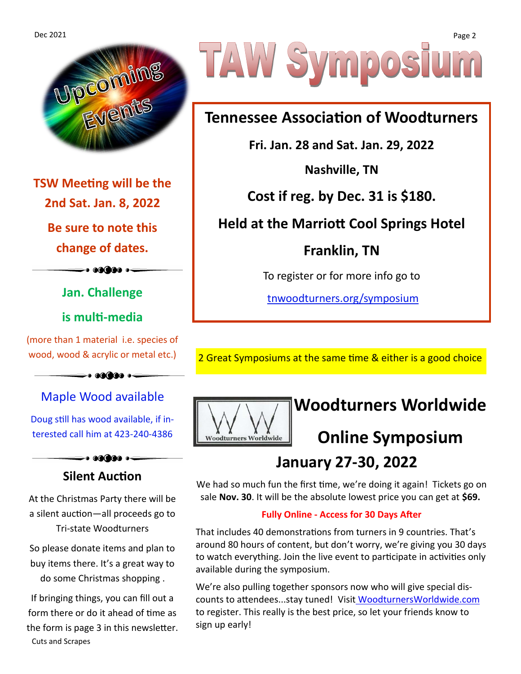

**TSW Meeting will be the 2nd Sat. Jan. 8, 2022**

> **Be sure to note this change of dates.**

> > $\longrightarrow$  60000  $\longrightarrow$

**Jan. Challenge** 

**is multi-media**

(more than 1 material i.e. species of wood, wood & acrylic or metal etc.)



 $\rightarrow$  00000 0 $\leftarrow$ 

Doug still has wood available, if interested call him at 423-240-4386

## **Silent Auction**

 $\Longrightarrow$  00000  $\circ$ 

At the Christmas Party there will be a silent auction—all proceeds go to Tri-state Woodturners

So please donate items and plan to buy items there. It's a great way to do some Christmas shopping .

Cuts and Scrapes If bringing things, you can fill out a form there or do it ahead of time as the form is page 3 in this newsletter.

# Dec 2021 Page 2 Symposiu

# **Tennessee Association of Woodturners**

**Fri. Jan. 28 and Sat. Jan. 29, 2022**

**Nashville, TN**

**Cost if reg. by Dec. 31 is \$180.**

**Held at the Marriott Cool Springs Hotel**

**Franklin, TN**

To register or for more info go to

tnwoodturners.org/symposium

2 Great Symposiums at the same time & either is a good choice



# **Woodturners Worldwide**

# **Online Symposium**

# **January 27-30, 2022**

We had so much fun the first time, we're doing it again! Tickets go on sale **Nov. 30**. It will be the absolute lowest price you can get at **\$69.**

### **Fully Online - Access for 30 Days After**

That includes 40 demonstrations from turners in 9 countries. That's around 80 hours of content, but don't worry, we're giving you 30 days to watch everything. Join the live event to participate in activities only available during the symposium.

We're also pulling together sponsors now who will give special discounts to attendees...stay tuned! Visit [WoodturnersWorldwide.com](https://woodturnersworldwide.com/index.php?option=com_acym&ctrl=fronturl&task=click&urlid=7&userid=1301&mailid=34) to register. This really is the best price, so let your friends know to sign up early!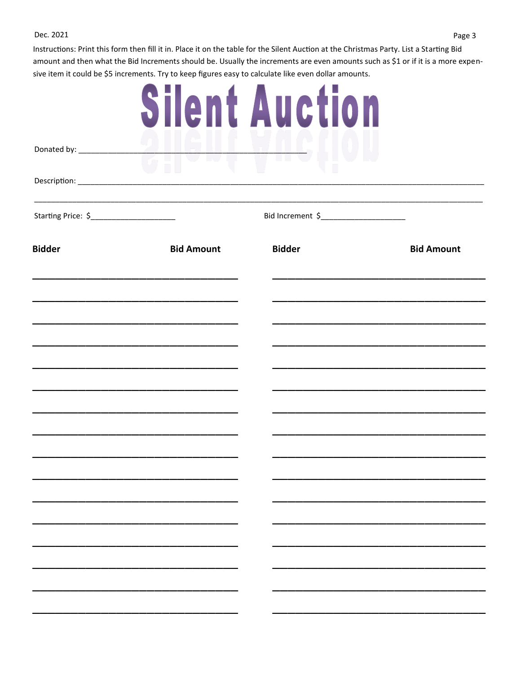#### Dec. 2021

Instructions: Print this form then fill it in. Place it on the table for the Silent Auction at the Christmas Party. List a Starting Bid amount and then what the Bid Increments should be. Usually the increments are even amounts such as \$1 or if it is a more expensive item it could be \$5 increments. Try to keep figures easy to calculate like even dollar amounts.

| <b>Silent Auction</b>                      |                   |               |                   |
|--------------------------------------------|-------------------|---------------|-------------------|
|                                            |                   |               |                   |
|                                            |                   |               |                   |
| Starting Price: \$________________________ |                   |               |                   |
| <b>Bidder</b>                              | <b>Bid Amount</b> | <b>Bidder</b> | <b>Bid Amount</b> |
|                                            |                   |               |                   |
|                                            |                   |               |                   |
|                                            |                   |               |                   |
|                                            |                   |               |                   |
|                                            |                   |               |                   |
|                                            |                   |               |                   |
|                                            |                   |               |                   |
|                                            |                   |               |                   |
|                                            |                   |               |                   |
|                                            |                   |               |                   |
|                                            |                   |               |                   |